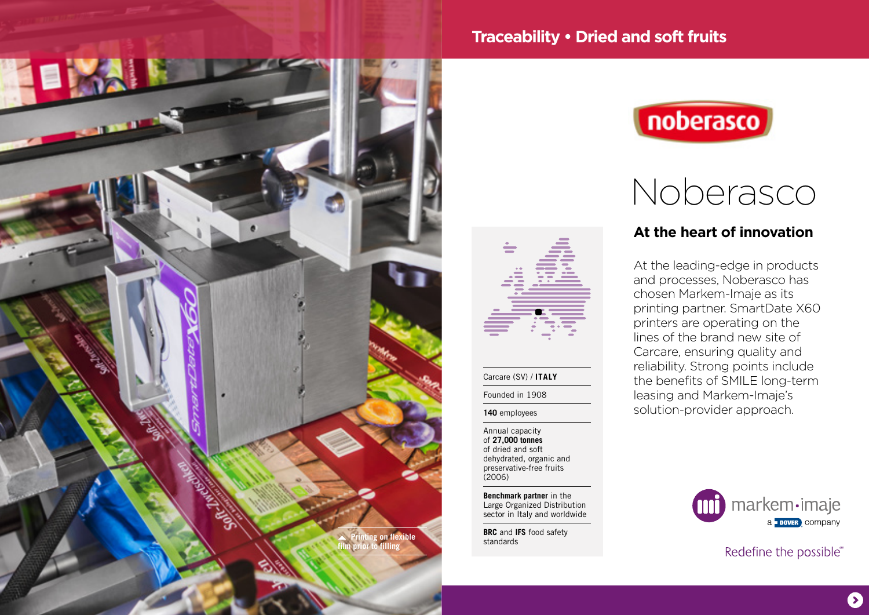

# **Traceability • Dried and soft fruits**



# Noberasco

# **At the heart of innovation**

At the leading-edge in products and processes, Noberasco has chosen Markem-Imaje as its printing partner. SmartDate X60 printers are operating on the lines of the brand new site of Carcare, ensuring quality and reliability. Strong points include the benefits of SMILE long-term leasing and Markem-Imaje's solution-provider approach.

Annual capacity of **27,000 tonnes**  of dried and soft dehydrated, organic and preservative-free fruits (2006)

Carcare (SV) / **ITALY** Founded in 1908 **140** employees

**Benchmark partner** in the Large Organized Distribution sector in Italy and worldwide

**BRC** and **IFS** food safety



Redefine the possible®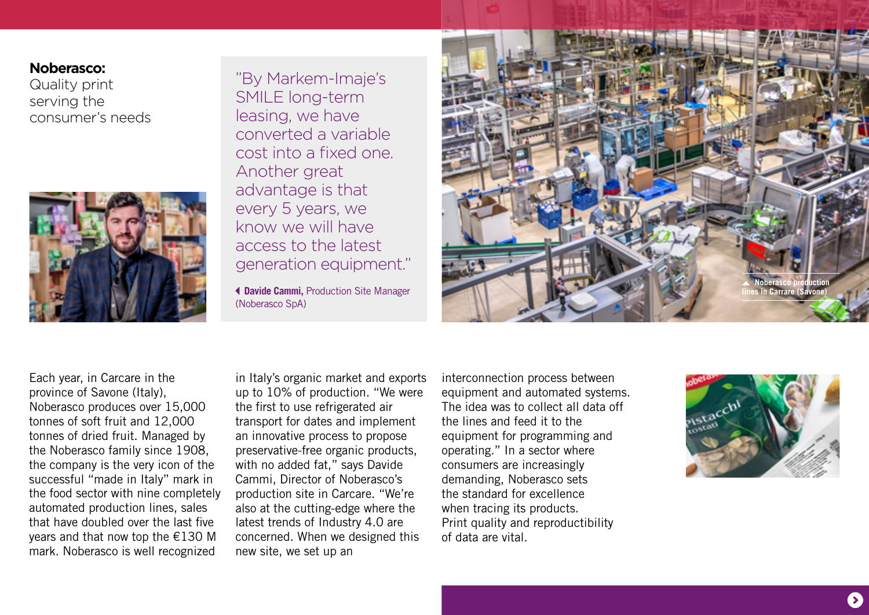### **Noberasco:**

Quality print serving the consumer's needs



"By Markem-Imaje's SMILE long-term leasing, we have converted a variable cost into a fixed one. Another great advantage is that every 5 years, we know we will have access to the latest generation equipment."

 **Davide Cammi,** Production Site Manager (Noberasco SpA)



Each year, in Carcare in the province of Savone (Italy), Noberasco produces over 15,000 tonnes of soft fruit and 12,000 tonnes of dried fruit. Managed by the Noberasco family since 1908, the company is the very icon of the successful "made in Italy" mark in the food sector with nine completely automated production lines, sales that have doubled over the last five years and that now top the €130 M mark. Noberasco is well recognized

in Italy's organic market and exports up to 10% of production. "We were the first to use refrigerated air transport for dates and implement an innovative process to propose preservative-free organic products, with no added fat," says Davide Cammi, Director of Noberasco's production site in Carcare. "We're also at the cutting-edge where the latest trends of Industry 4.0 are concerned. When we designed this new site, we set up an

interconnection process between equipment and automated systems. The idea was to collect all data off the lines and feed it to the equipment for programming and operating." In a sector where consumers are increasingly demanding, Noberasco sets the standard for excellence when tracing its products. Print quality and reproductibility of data are vital.